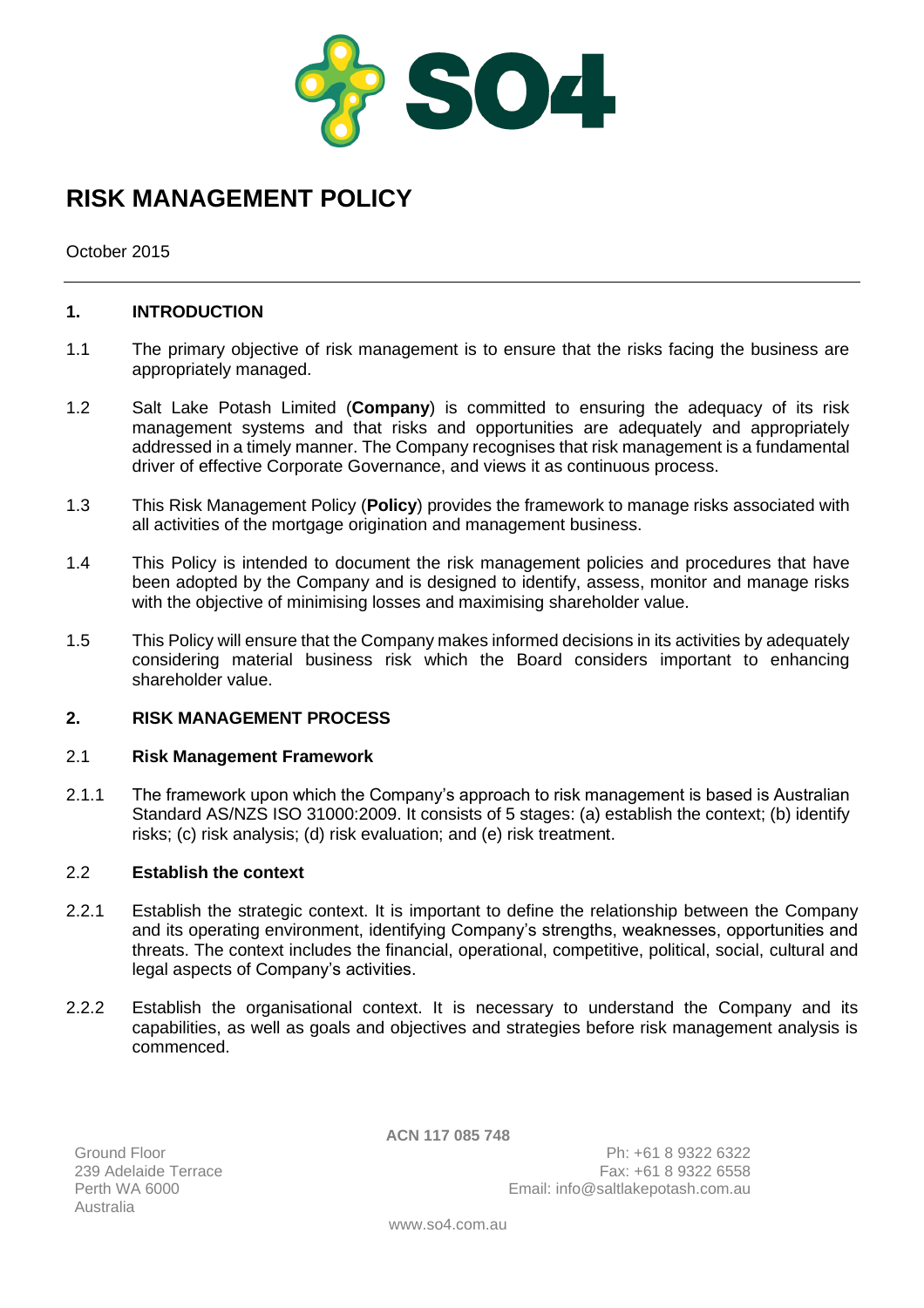

# **RISK MANAGEMENT POLICY**

October 2015

# **1. INTRODUCTION**

- 1.1 The primary objective of risk management is to ensure that the risks facing the business are appropriately managed.
- 1.2 Salt Lake Potash Limited (**Company**) is committed to ensuring the adequacy of its risk management systems and that risks and opportunities are adequately and appropriately addressed in a timely manner. The Company recognises that risk management is a fundamental driver of effective Corporate Governance, and views it as continuous process.
- 1.3 This Risk Management Policy (**Policy**) provides the framework to manage risks associated with all activities of the mortgage origination and management business.
- 1.4 This Policy is intended to document the risk management policies and procedures that have been adopted by the Company and is designed to identify, assess, monitor and manage risks with the objective of minimising losses and maximising shareholder value.
- 1.5 This Policy will ensure that the Company makes informed decisions in its activities by adequately considering material business risk which the Board considers important to enhancing shareholder value.

# **2. RISK MANAGEMENT PROCESS**

#### 2.1 **Risk Management Framework**

2.1.1 The framework upon which the Company's approach to risk management is based is Australian Standard AS/NZS ISO 31000:2009. It consists of 5 stages: (a) establish the context; (b) identify risks; (c) risk analysis; (d) risk evaluation; and (e) risk treatment.

#### 2.2 **Establish the context**

- 2.2.1 Establish the strategic context. It is important to define the relationship between the Company and its operating environment, identifying Company's strengths, weaknesses, opportunities and threats. The context includes the financial, operational, competitive, political, social, cultural and legal aspects of Company's activities.
- 2.2.2 Establish the organisational context. It is necessary to understand the Company and its capabilities, as well as goals and objectives and strategies before risk management analysis is commenced.

**ACN 117 085 748**

Ground Floor 239 Adelaide Terrace<br>Perth WA 6000 Australia

Ph: +61 8 9322 6322 Fax: +61 8 9322 6558 Email: info@saltlakepotash.com.au

www.so4.com.au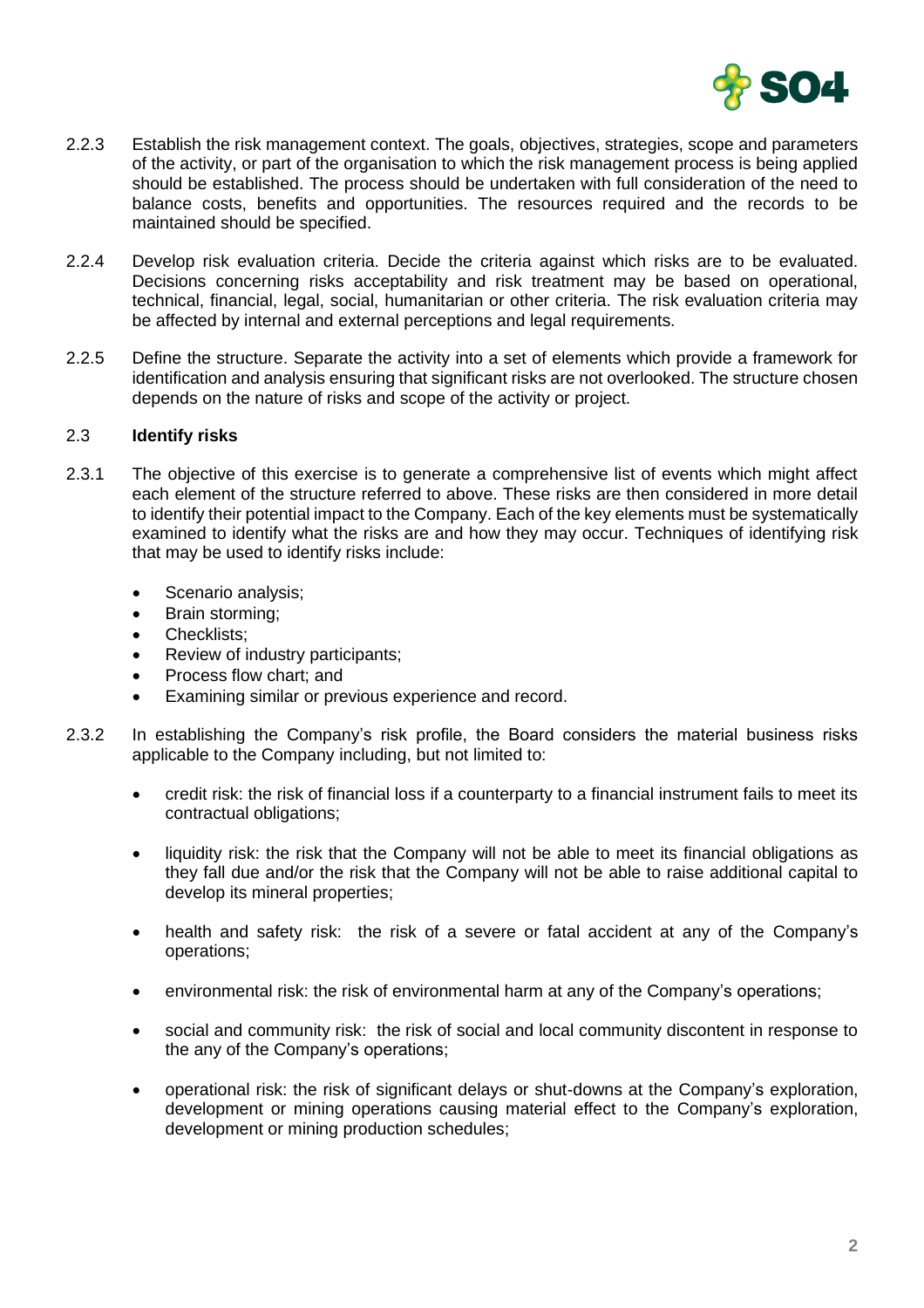

- 2.2.3 Establish the risk management context. The goals, objectives, strategies, scope and parameters of the activity, or part of the organisation to which the risk management process is being applied should be established. The process should be undertaken with full consideration of the need to balance costs, benefits and opportunities. The resources required and the records to be maintained should be specified.
- 2.2.4 Develop risk evaluation criteria. Decide the criteria against which risks are to be evaluated. Decisions concerning risks acceptability and risk treatment may be based on operational, technical, financial, legal, social, humanitarian or other criteria. The risk evaluation criteria may be affected by internal and external perceptions and legal requirements.
- 2.2.5 Define the structure. Separate the activity into a set of elements which provide a framework for identification and analysis ensuring that significant risks are not overlooked. The structure chosen depends on the nature of risks and scope of the activity or project.

## 2.3 **Identify risks**

- 2.3.1 The objective of this exercise is to generate a comprehensive list of events which might affect each element of the structure referred to above. These risks are then considered in more detail to identify their potential impact to the Company. Each of the key elements must be systematically examined to identify what the risks are and how they may occur. Techniques of identifying risk that may be used to identify risks include:
	- Scenario analysis;
	- Brain storming;
	- Checklists;
	- Review of industry participants;
	- Process flow chart; and
	- Examining similar or previous experience and record.
- 2.3.2 In establishing the Company's risk profile, the Board considers the material business risks applicable to the Company including, but not limited to:
	- credit risk: the risk of financial loss if a counterparty to a financial instrument fails to meet its contractual obligations;
	- liquidity risk: the risk that the Company will not be able to meet its financial obligations as they fall due and/or the risk that the Company will not be able to raise additional capital to develop its mineral properties;
	- health and safety risk: the risk of a severe or fatal accident at any of the Company's operations;
	- environmental risk: the risk of environmental harm at any of the Company's operations;
	- social and community risk: the risk of social and local community discontent in response to the any of the Company's operations;
	- operational risk: the risk of significant delays or shut-downs at the Company's exploration, development or mining operations causing material effect to the Company's exploration, development or mining production schedules;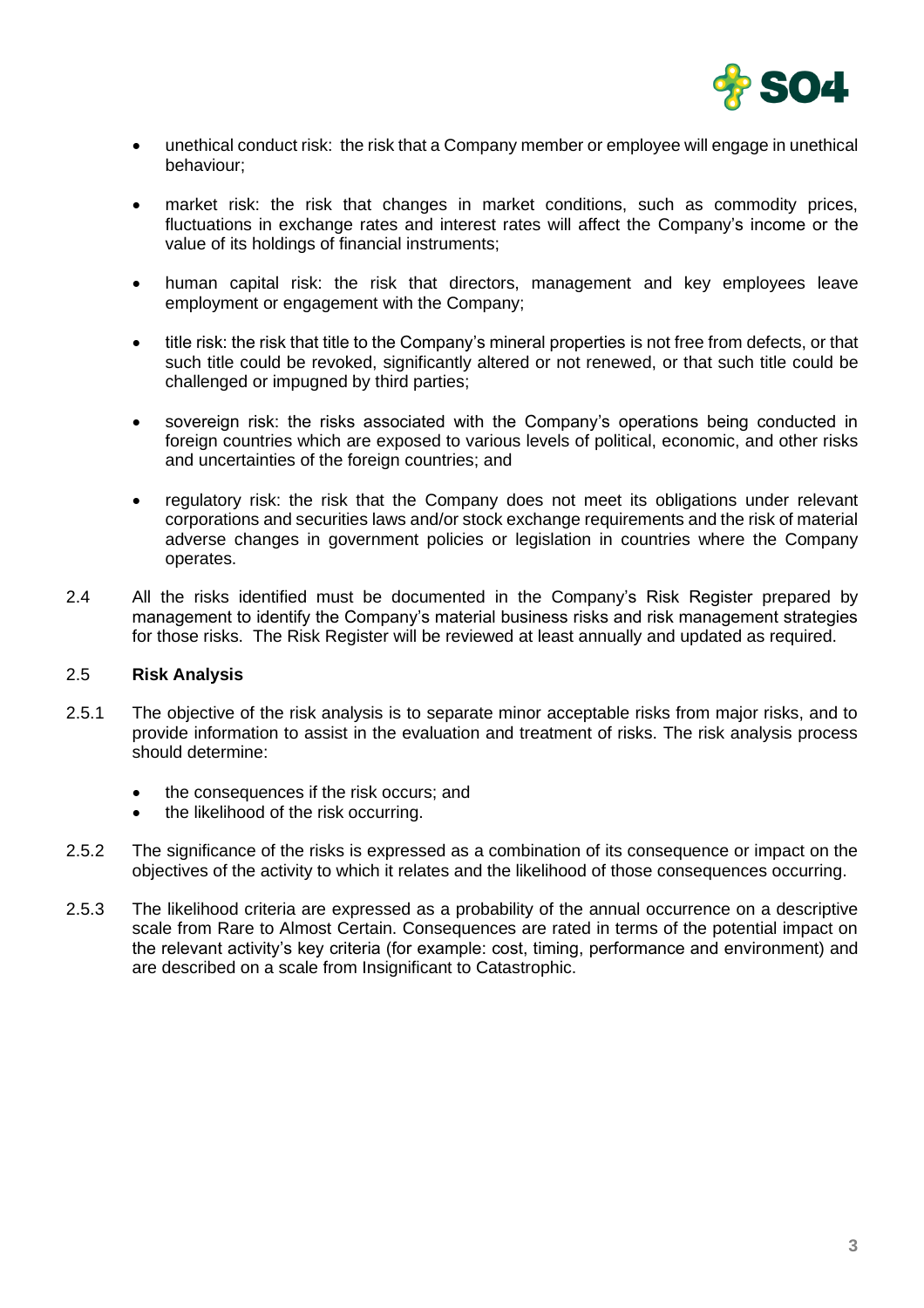

- unethical conduct risk: the risk that a Company member or employee will engage in unethical behaviour;
- market risk: the risk that changes in market conditions, such as commodity prices, fluctuations in exchange rates and interest rates will affect the Company's income or the value of its holdings of financial instruments;
- human capital risk: the risk that directors, management and key employees leave employment or engagement with the Company;
- title risk: the risk that title to the Company's mineral properties is not free from defects, or that such title could be revoked, significantly altered or not renewed, or that such title could be challenged or impugned by third parties;
- sovereign risk: the risks associated with the Company's operations being conducted in foreign countries which are exposed to various levels of political, economic, and other risks and uncertainties of the foreign countries; and
- regulatory risk: the risk that the Company does not meet its obligations under relevant corporations and securities laws and/or stock exchange requirements and the risk of material adverse changes in government policies or legislation in countries where the Company operates.
- 2.4 All the risks identified must be documented in the Company's Risk Register prepared by management to identify the Company's material business risks and risk management strategies for those risks. The Risk Register will be reviewed at least annually and updated as required.

# 2.5 **Risk Analysis**

- 2.5.1 The objective of the risk analysis is to separate minor acceptable risks from major risks, and to provide information to assist in the evaluation and treatment of risks. The risk analysis process should determine:
	- the consequences if the risk occurs; and
	- the likelihood of the risk occurring.
- 2.5.2 The significance of the risks is expressed as a combination of its consequence or impact on the objectives of the activity to which it relates and the likelihood of those consequences occurring.
- 2.5.3 The likelihood criteria are expressed as a probability of the annual occurrence on a descriptive scale from Rare to Almost Certain. Consequences are rated in terms of the potential impact on the relevant activity's key criteria (for example: cost, timing, performance and environment) and are described on a scale from Insignificant to Catastrophic.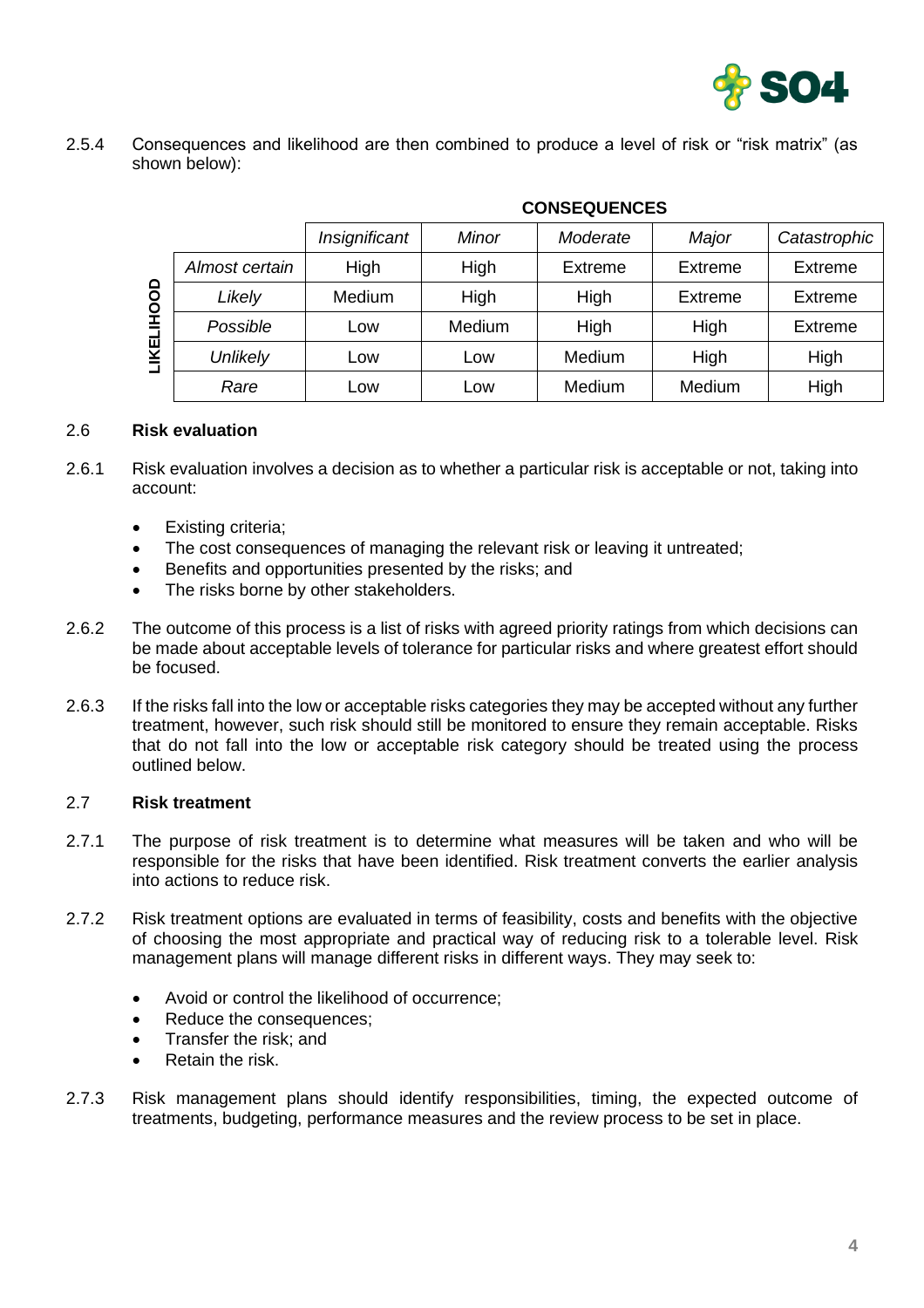

2.5.4 Consequences and likelihood are then combined to produce a level of risk or "risk matrix" (as shown below):

|            |                 | <u>oonolwolnolo</u> |              |                |                |                |
|------------|-----------------|---------------------|--------------|----------------|----------------|----------------|
|            |                 | Insignificant       | <b>Minor</b> | Moderate       | Major          | Catastrophic   |
| LIKELIHOOD | Almost certain  | High                | High         | <b>Extreme</b> | Extreme        | Extreme        |
|            | Likely          | Medium              | High         | High           | <b>Extreme</b> | <b>Extreme</b> |
|            | Possible        | Low                 | Medium       | High           | High           | <b>Extreme</b> |
|            | <b>Unlikely</b> | Low                 | Low          | Medium         | High           | High           |
|            | Rare            | Low                 | Low          | Medium         | Medium         | High           |

# **CONSEQUENCES**

## 2.6 **Risk evaluation**

- 2.6.1 Risk evaluation involves a decision as to whether a particular risk is acceptable or not, taking into account:
	- **Existing criteria;**
	- The cost consequences of managing the relevant risk or leaving it untreated;
	- Benefits and opportunities presented by the risks; and
	- The risks borne by other stakeholders.
- 2.6.2 The outcome of this process is a list of risks with agreed priority ratings from which decisions can be made about acceptable levels of tolerance for particular risks and where greatest effort should be focused.
- 2.6.3 If the risks fall into the low or acceptable risks categories they may be accepted without any further treatment, however, such risk should still be monitored to ensure they remain acceptable. Risks that do not fall into the low or acceptable risk category should be treated using the process outlined below.

#### 2.7 **Risk treatment**

- 2.7.1 The purpose of risk treatment is to determine what measures will be taken and who will be responsible for the risks that have been identified. Risk treatment converts the earlier analysis into actions to reduce risk.
- 2.7.2 Risk treatment options are evaluated in terms of feasibility, costs and benefits with the objective of choosing the most appropriate and practical way of reducing risk to a tolerable level. Risk management plans will manage different risks in different ways. They may seek to:
	- Avoid or control the likelihood of occurrence;
	- Reduce the consequences;
	- Transfer the risk; and
	- Retain the risk.
- 2.7.3 Risk management plans should identify responsibilities, timing, the expected outcome of treatments, budgeting, performance measures and the review process to be set in place.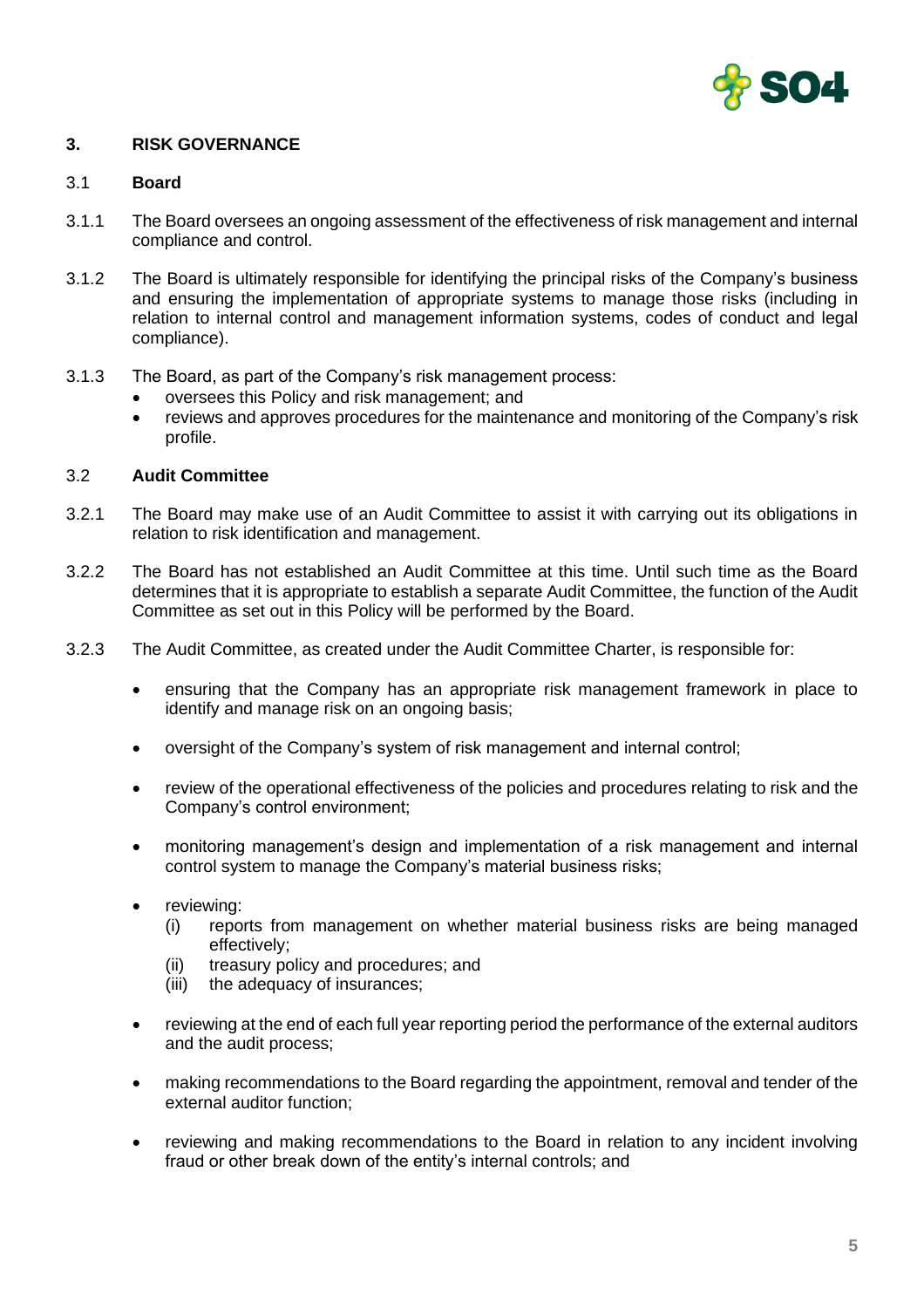

# **3. RISK GOVERNANCE**

## 3.1 **Board**

- 3.1.1 The Board oversees an ongoing assessment of the effectiveness of risk management and internal compliance and control.
- 3.1.2 The Board is ultimately responsible for identifying the principal risks of the Company's business and ensuring the implementation of appropriate systems to manage those risks (including in relation to internal control and management information systems, codes of conduct and legal compliance).
- 3.1.3 The Board, as part of the Company's risk management process:
	- oversees this Policy and risk management; and
	- reviews and approves procedures for the maintenance and monitoring of the Company's risk profile.

## 3.2 **Audit Committee**

- 3.2.1 The Board may make use of an Audit Committee to assist it with carrying out its obligations in relation to risk identification and management.
- 3.2.2 The Board has not established an Audit Committee at this time. Until such time as the Board determines that it is appropriate to establish a separate Audit Committee, the function of the Audit Committee as set out in this Policy will be performed by the Board.
- 3.2.3 The Audit Committee, as created under the Audit Committee Charter, is responsible for:
	- ensuring that the Company has an appropriate risk management framework in place to identify and manage risk on an ongoing basis;
	- oversight of the Company's system of risk management and internal control;
	- review of the operational effectiveness of the policies and procedures relating to risk and the Company's control environment;
	- monitoring management's design and implementation of a risk management and internal control system to manage the Company's material business risks;
	- reviewing:
		- (i) reports from management on whether material business risks are being managed effectively;
		- (ii) treasury policy and procedures; and
		- (iii) the adequacy of insurances;
	- reviewing at the end of each full year reporting period the performance of the external auditors and the audit process;
	- making recommendations to the Board regarding the appointment, removal and tender of the external auditor function;
	- reviewing and making recommendations to the Board in relation to any incident involving fraud or other break down of the entity's internal controls; and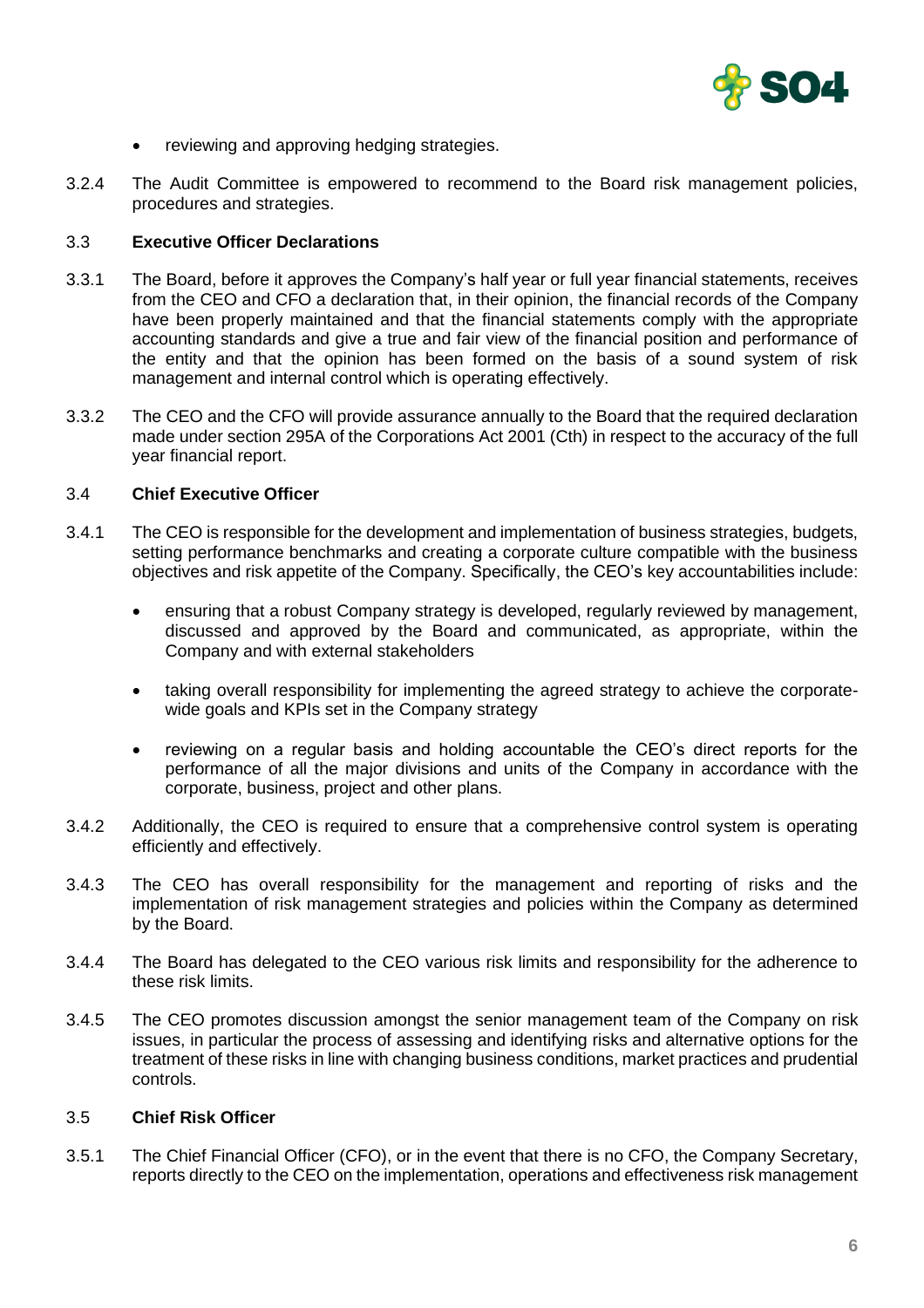

- reviewing and approving hedging strategies.
- 3.2.4 The Audit Committee is empowered to recommend to the Board risk management policies, procedures and strategies.

## 3.3 **Executive Officer Declarations**

- 3.3.1 The Board, before it approves the Company's half year or full year financial statements, receives from the CEO and CFO a declaration that, in their opinion, the financial records of the Company have been properly maintained and that the financial statements comply with the appropriate accounting standards and give a true and fair view of the financial position and performance of the entity and that the opinion has been formed on the basis of a sound system of risk management and internal control which is operating effectively.
- 3.3.2 The CEO and the CFO will provide assurance annually to the Board that the required declaration made under section 295A of the Corporations Act 2001 (Cth) in respect to the accuracy of the full year financial report.

#### 3.4 **Chief Executive Officer**

- 3.4.1 The CEO is responsible for the development and implementation of business strategies, budgets, setting performance benchmarks and creating a corporate culture compatible with the business objectives and risk appetite of the Company. Specifically, the CEO's key accountabilities include:
	- ensuring that a robust Company strategy is developed, regularly reviewed by management, discussed and approved by the Board and communicated, as appropriate, within the Company and with external stakeholders
	- taking overall responsibility for implementing the agreed strategy to achieve the corporatewide goals and KPIs set in the Company strategy
	- reviewing on a regular basis and holding accountable the CEO's direct reports for the performance of all the major divisions and units of the Company in accordance with the corporate, business, project and other plans.
- 3.4.2 Additionally, the CEO is required to ensure that a comprehensive control system is operating efficiently and effectively.
- 3.4.3 The CEO has overall responsibility for the management and reporting of risks and the implementation of risk management strategies and policies within the Company as determined by the Board.
- 3.4.4 The Board has delegated to the CEO various risk limits and responsibility for the adherence to these risk limits.
- 3.4.5 The CEO promotes discussion amongst the senior management team of the Company on risk issues, in particular the process of assessing and identifying risks and alternative options for the treatment of these risks in line with changing business conditions, market practices and prudential controls.

## 3.5 **Chief Risk Officer**

3.5.1 The Chief Financial Officer (CFO), or in the event that there is no CFO, the Company Secretary, reports directly to the CEO on the implementation, operations and effectiveness risk management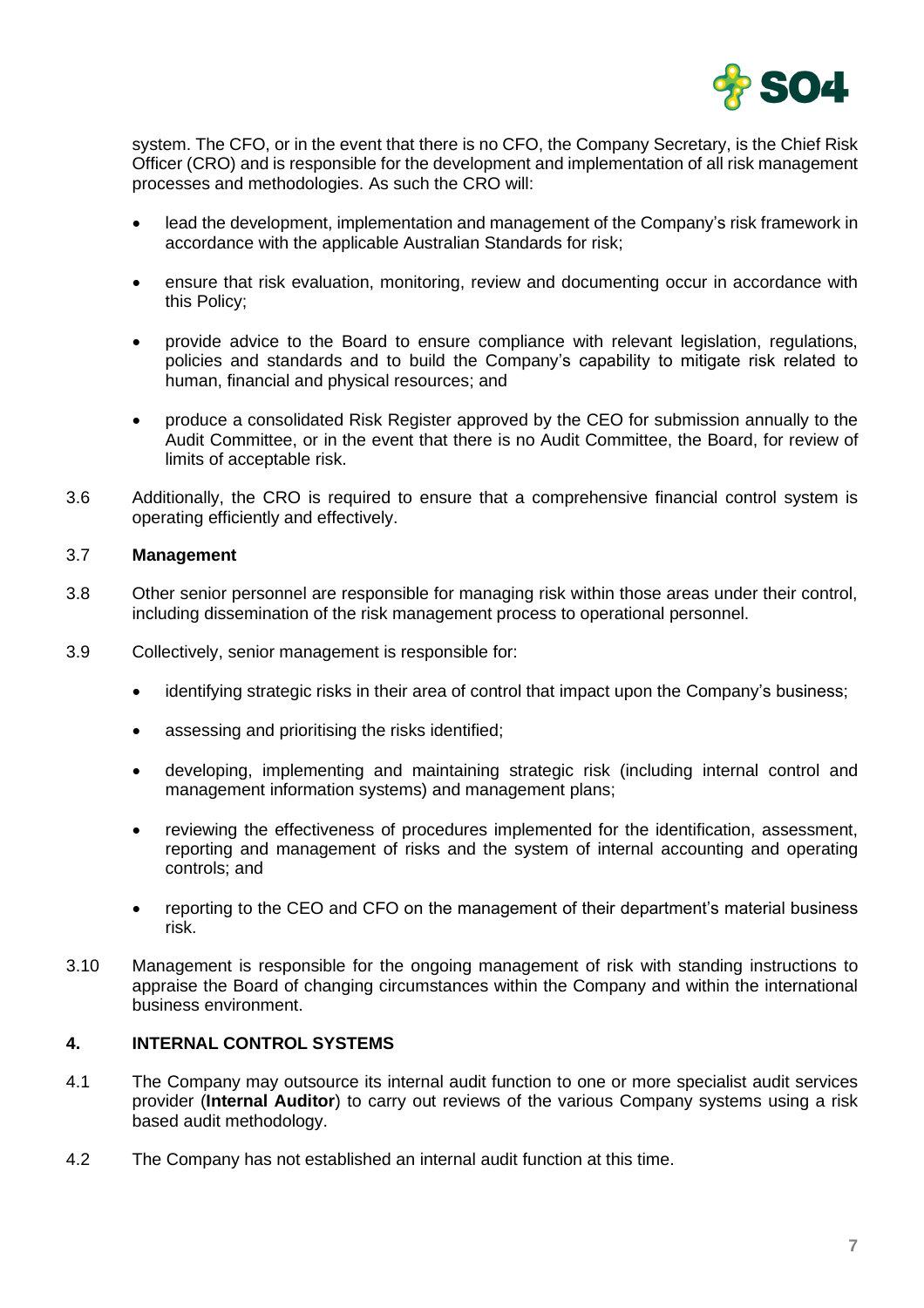

system. The CFO, or in the event that there is no CFO, the Company Secretary, is the Chief Risk Officer (CRO) and is responsible for the development and implementation of all risk management processes and methodologies. As such the CRO will:

- lead the development, implementation and management of the Company's risk framework in accordance with the applicable Australian Standards for risk;
- ensure that risk evaluation, monitoring, review and documenting occur in accordance with this Policy;
- provide advice to the Board to ensure compliance with relevant legislation, regulations, policies and standards and to build the Company's capability to mitigate risk related to human, financial and physical resources; and
- produce a consolidated Risk Register approved by the CEO for submission annually to the Audit Committee, or in the event that there is no Audit Committee, the Board, for review of limits of acceptable risk.
- 3.6 Additionally, the CRO is required to ensure that a comprehensive financial control system is operating efficiently and effectively.

# 3.7 **Management**

- 3.8 Other senior personnel are responsible for managing risk within those areas under their control, including dissemination of the risk management process to operational personnel.
- 3.9 Collectively, senior management is responsible for:
	- identifying strategic risks in their area of control that impact upon the Company's business;
	- assessing and prioritising the risks identified;
	- developing, implementing and maintaining strategic risk (including internal control and management information systems) and management plans;
	- reviewing the effectiveness of procedures implemented for the identification, assessment, reporting and management of risks and the system of internal accounting and operating controls; and
	- reporting to the CEO and CFO on the management of their department's material business risk.
- 3.10 Management is responsible for the ongoing management of risk with standing instructions to appraise the Board of changing circumstances within the Company and within the international business environment.

#### **4. INTERNAL CONTROL SYSTEMS**

- 4.1 The Company may outsource its internal audit function to one or more specialist audit services provider (**Internal Auditor**) to carry out reviews of the various Company systems using a risk based audit methodology.
- 4.2 The Company has not established an internal audit function at this time.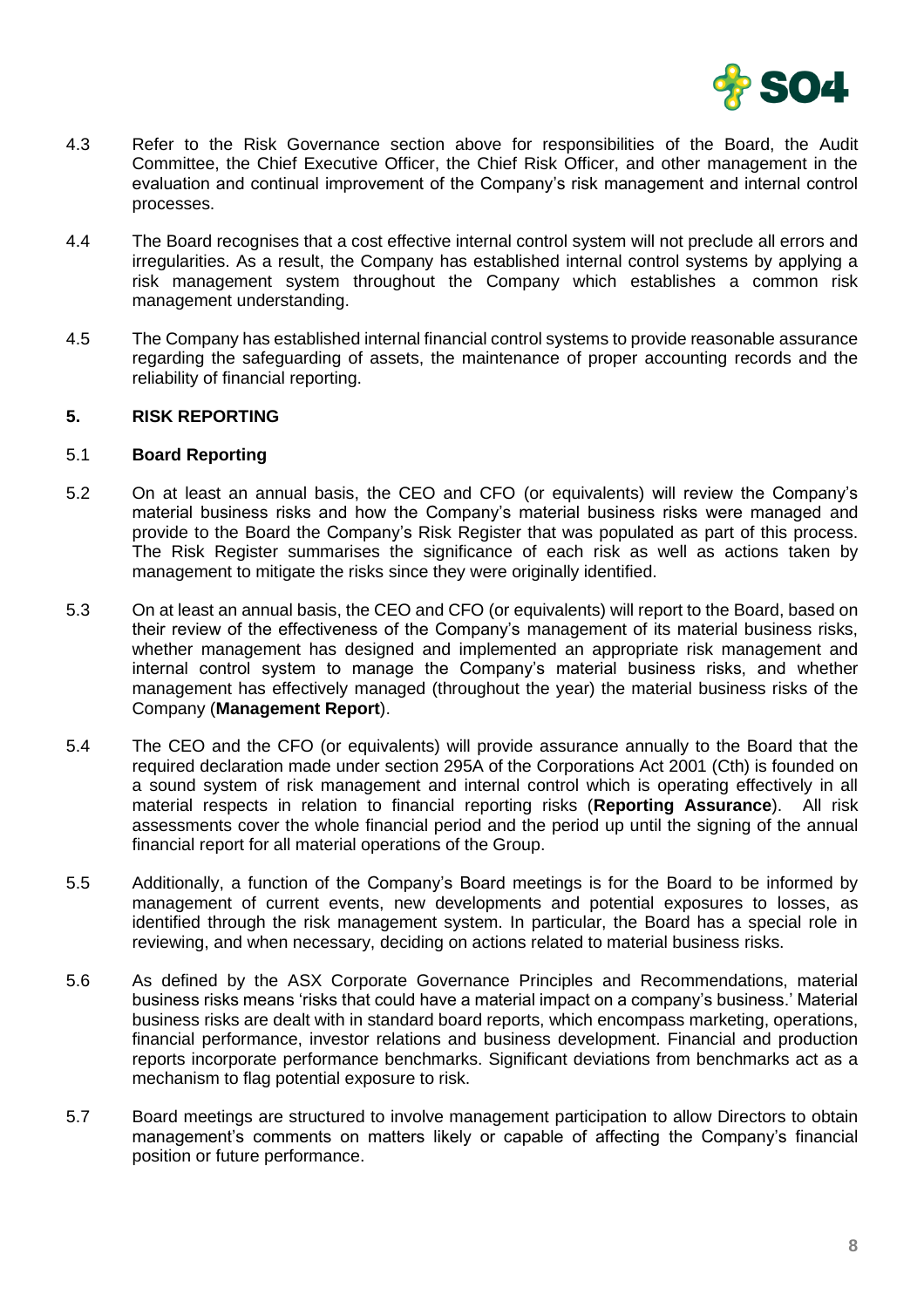

- 4.3 Refer to the Risk Governance section above for responsibilities of the Board, the Audit Committee, the Chief Executive Officer, the Chief Risk Officer, and other management in the evaluation and continual improvement of the Company's risk management and internal control processes.
- 4.4 The Board recognises that a cost effective internal control system will not preclude all errors and irregularities. As a result, the Company has established internal control systems by applying a risk management system throughout the Company which establishes a common risk management understanding.
- 4.5 The Company has established internal financial control systems to provide reasonable assurance regarding the safeguarding of assets, the maintenance of proper accounting records and the reliability of financial reporting.

# **5. RISK REPORTING**

#### 5.1 **Board Reporting**

- 5.2 On at least an annual basis, the CEO and CFO (or equivalents) will review the Company's material business risks and how the Company's material business risks were managed and provide to the Board the Company's Risk Register that was populated as part of this process. The Risk Register summarises the significance of each risk as well as actions taken by management to mitigate the risks since they were originally identified.
- 5.3 On at least an annual basis, the CEO and CFO (or equivalents) will report to the Board, based on their review of the effectiveness of the Company's management of its material business risks, whether management has designed and implemented an appropriate risk management and internal control system to manage the Company's material business risks, and whether management has effectively managed (throughout the year) the material business risks of the Company (**Management Report**).
- 5.4 The CEO and the CFO (or equivalents) will provide assurance annually to the Board that the required declaration made under section 295A of the Corporations Act 2001 (Cth) is founded on a sound system of risk management and internal control which is operating effectively in all material respects in relation to financial reporting risks (**Reporting Assurance**). All risk assessments cover the whole financial period and the period up until the signing of the annual financial report for all material operations of the Group.
- 5.5 Additionally, a function of the Company's Board meetings is for the Board to be informed by management of current events, new developments and potential exposures to losses, as identified through the risk management system. In particular, the Board has a special role in reviewing, and when necessary, deciding on actions related to material business risks.
- 5.6 As defined by the ASX Corporate Governance Principles and Recommendations, material business risks means 'risks that could have a material impact on a company's business.' Material business risks are dealt with in standard board reports, which encompass marketing, operations, financial performance, investor relations and business development. Financial and production reports incorporate performance benchmarks. Significant deviations from benchmarks act as a mechanism to flag potential exposure to risk.
- 5.7 Board meetings are structured to involve management participation to allow Directors to obtain management's comments on matters likely or capable of affecting the Company's financial position or future performance.